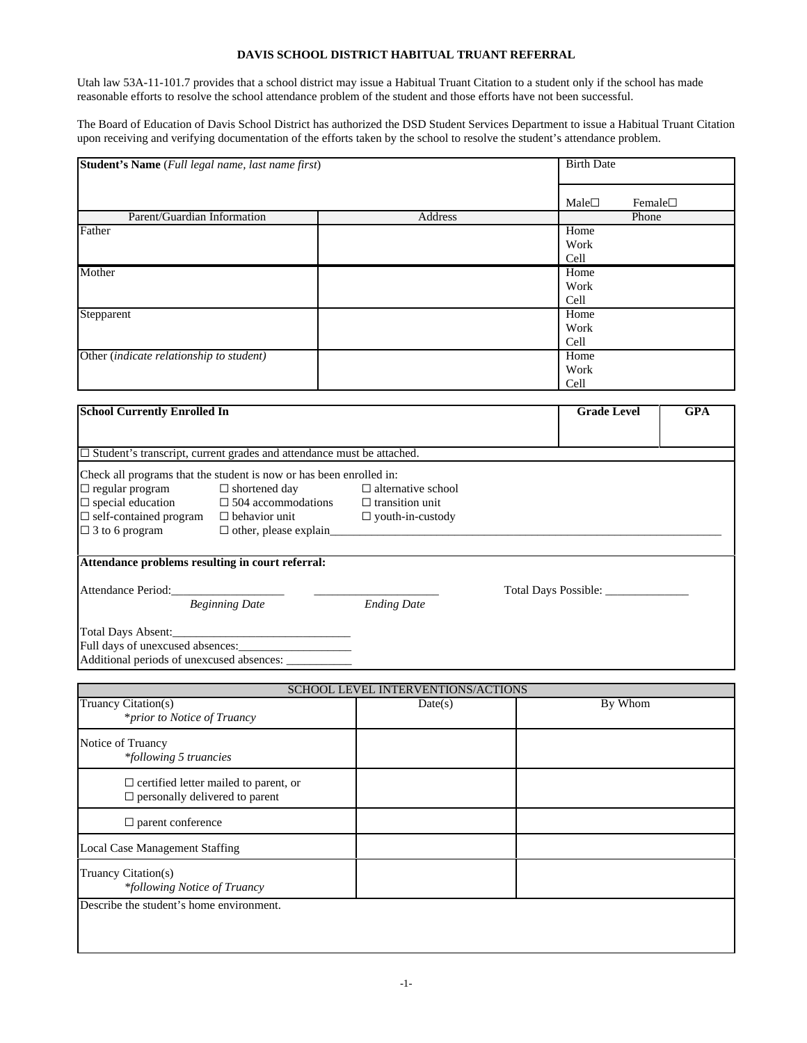## **DAVIS SCHOOL DISTRICT HABITUAL TRUANT REFERRAL**

Utah law 53A-11-101.7 provides that a school district may issue a Habitual Truant Citation to a student only if the school has made reasonable efforts to resolve the school attendance problem of the student and those efforts have not been successful.

The Board of Education of Davis School District has authorized the DSD Student Services Department to issue a Habitual Truant Citation upon receiving and verifying documentation of the efforts taken by the school to resolve the student's attendance problem.

| Student's Name (Full legal name, last name first) |         |                    | <b>Birth Date</b> |            |  |
|---------------------------------------------------|---------|--------------------|-------------------|------------|--|
|                                                   |         | Male               | Female $\square$  |            |  |
| Parent/Guardian Information                       | Address |                    | Phone             |            |  |
| Father                                            |         | Home               |                   |            |  |
|                                                   |         | Work               |                   |            |  |
|                                                   |         | Cell               |                   |            |  |
| Mother                                            |         | Home               |                   |            |  |
|                                                   |         | Work               |                   |            |  |
|                                                   |         | Cell               |                   |            |  |
| Stepparent                                        |         | Home               |                   |            |  |
|                                                   |         | Work               |                   |            |  |
|                                                   |         | Cell               |                   |            |  |
| Other (indicate relationship to student)          |         | Home               |                   |            |  |
|                                                   |         | Work               |                   |            |  |
|                                                   |         | Cell               |                   |            |  |
|                                                   |         |                    |                   |            |  |
| <b>School Currently Enrolled In</b>               |         | <b>Grade Level</b> |                   | <b>GPA</b> |  |

| $\Box$ Student's transcript, current grades and attendance must be attached. |                                                      |                           |                      |  |  |  |  |
|------------------------------------------------------------------------------|------------------------------------------------------|---------------------------|----------------------|--|--|--|--|
| Check all programs that the student is now or has been enrolled in:          |                                                      |                           |                      |  |  |  |  |
| $\Box$ regular program                                                       | $\Box$ shortened day                                 | $\Box$ alternative school |                      |  |  |  |  |
| $\Box$ special education $\Box$ 504 accommodations $\Box$ transition unit    |                                                      |                           |                      |  |  |  |  |
| $\Box$ self-contained program $\Box$ behavior unit                           |                                                      | $\Box$ youth-in-custody   |                      |  |  |  |  |
| $\Box$ 3 to 6 program                                                        | $\Box$ other, please explain                         |                           |                      |  |  |  |  |
|                                                                              |                                                      |                           |                      |  |  |  |  |
| Attendance problems resulting in court referral:                             |                                                      |                           |                      |  |  |  |  |
|                                                                              |                                                      |                           |                      |  |  |  |  |
| Attendance Period:                                                           |                                                      |                           | Total Days Possible: |  |  |  |  |
| <b>Beginning Date</b>                                                        |                                                      | <b>Ending Date</b>        |                      |  |  |  |  |
|                                                                              |                                                      |                           |                      |  |  |  |  |
|                                                                              | Total Days Absent:                                   |                           |                      |  |  |  |  |
|                                                                              |                                                      |                           |                      |  |  |  |  |
|                                                                              | Additional periods of unexcused absences: __________ |                           |                      |  |  |  |  |

| <b>SCHOOL LEVEL INTERVENTIONS/ACTIONS</b>                                             |         |         |  |  |
|---------------------------------------------------------------------------------------|---------|---------|--|--|
| Truancy Citation(s)<br><i>*prior to Notice of Truancy</i>                             | Date(s) | By Whom |  |  |
| Notice of Truancy<br>*following 5 truancies                                           |         |         |  |  |
| $\Box$ certified letter mailed to parent, or<br>$\Box$ personally delivered to parent |         |         |  |  |
| $\Box$ parent conference                                                              |         |         |  |  |
| <b>Local Case Management Staffing</b>                                                 |         |         |  |  |
| Truancy Citation(s)<br>*following Notice of Truancy                                   |         |         |  |  |
| Describe the student's home environment.                                              |         |         |  |  |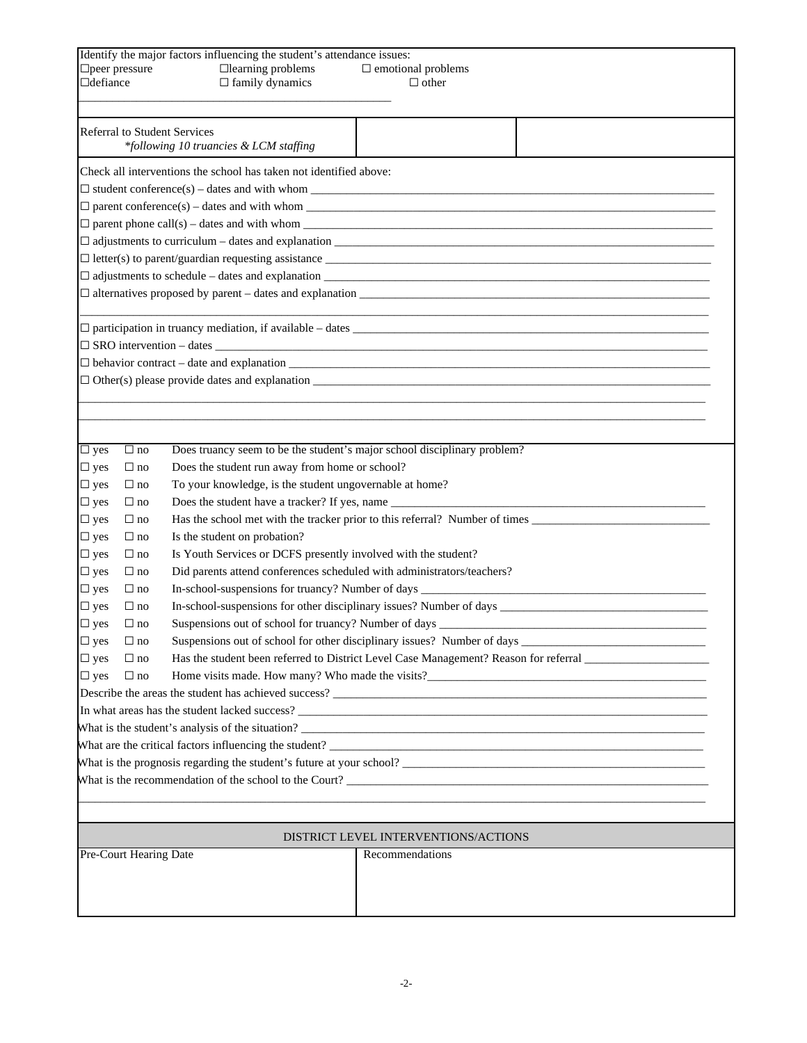| □defiance                                                            | $\Box$ peer pressure                                                                                              |  | Identify the major factors influencing the student's attendance issues:<br>$\Box$ learning problems<br>$\Box$ family dynamics | $\Box$ emotional problems<br>$\Box$ other                                                            |  |  |
|----------------------------------------------------------------------|-------------------------------------------------------------------------------------------------------------------|--|-------------------------------------------------------------------------------------------------------------------------------|------------------------------------------------------------------------------------------------------|--|--|
|                                                                      | <b>Referral to Student Services</b><br>*following 10 truancies & LCM staffing                                     |  |                                                                                                                               |                                                                                                      |  |  |
|                                                                      |                                                                                                                   |  | Check all interventions the school has taken not identified above:                                                            |                                                                                                      |  |  |
|                                                                      |                                                                                                                   |  |                                                                                                                               |                                                                                                      |  |  |
|                                                                      |                                                                                                                   |  |                                                                                                                               |                                                                                                      |  |  |
|                                                                      |                                                                                                                   |  |                                                                                                                               | $\Box$ parent phone call(s) – dates and with whom                                                    |  |  |
|                                                                      |                                                                                                                   |  |                                                                                                                               |                                                                                                      |  |  |
|                                                                      |                                                                                                                   |  |                                                                                                                               | $\Box$ letter(s) to parent/guardian requesting assistance $\Box$                                     |  |  |
|                                                                      |                                                                                                                   |  |                                                                                                                               | $\Box$ adjustments to schedule – dates and explanation $\Box$                                        |  |  |
|                                                                      |                                                                                                                   |  |                                                                                                                               | $\Box$ alternatives proposed by parent – dates and explanation $\Box$                                |  |  |
|                                                                      |                                                                                                                   |  |                                                                                                                               | $\Box$ participation in truancy mediation, if available – dates                                      |  |  |
|                                                                      |                                                                                                                   |  |                                                                                                                               |                                                                                                      |  |  |
|                                                                      |                                                                                                                   |  |                                                                                                                               | $\Box$ behavior contract – date and explanation $\Box$                                               |  |  |
|                                                                      |                                                                                                                   |  |                                                                                                                               | $\Box$ Other(s) please provide dates and explanation $\Box$                                          |  |  |
|                                                                      |                                                                                                                   |  |                                                                                                                               |                                                                                                      |  |  |
|                                                                      |                                                                                                                   |  |                                                                                                                               |                                                                                                      |  |  |
|                                                                      |                                                                                                                   |  |                                                                                                                               |                                                                                                      |  |  |
| $\overline{\Box}$ yes                                                | $\Box$ no                                                                                                         |  |                                                                                                                               | Does truancy seem to be the student's major school disciplinary problem?                             |  |  |
| $\square$ yes                                                        | $\Box$ no                                                                                                         |  | Does the student run away from home or school?                                                                                |                                                                                                      |  |  |
| $\square$ yes                                                        | $\Box$ no                                                                                                         |  | To your knowledge, is the student ungovernable at home?                                                                       |                                                                                                      |  |  |
| $\square$ yes                                                        | $\Box$ no                                                                                                         |  |                                                                                                                               |                                                                                                      |  |  |
| $\square$ yes                                                        | $\Box$ no                                                                                                         |  |                                                                                                                               |                                                                                                      |  |  |
| $\square$ yes                                                        | $\Box$ no                                                                                                         |  | Is the student on probation?                                                                                                  |                                                                                                      |  |  |
| $\square$ yes                                                        | $\Box$ no                                                                                                         |  |                                                                                                                               | Is Youth Services or DCFS presently involved with the student?                                       |  |  |
| $\square$ yes                                                        | $\Box$ no                                                                                                         |  |                                                                                                                               | Did parents attend conferences scheduled with administrators/teachers?                               |  |  |
| $\square$ yes                                                        | $\Box$ no                                                                                                         |  |                                                                                                                               | In-school-suspensions for truancy? Number of days _______________________________                    |  |  |
| $\square$ yes                                                        | $\Box$ no                                                                                                         |  |                                                                                                                               |                                                                                                      |  |  |
| $\Box$ yes                                                           | $\Box$ no                                                                                                         |  |                                                                                                                               | Suspensions out of school for truancy? Number of days ___________________________                    |  |  |
| $\square$ yes                                                        | $\Box$ no                                                                                                         |  |                                                                                                                               | Suspensions out of school for other disciplinary issues? Number of days ____________________________ |  |  |
| $\square$ yes                                                        | Has the student been referred to District Level Case Management? Reason for referral _______________<br>$\Box$ no |  |                                                                                                                               |                                                                                                      |  |  |
| $\square$ yes<br>$\Box$ no                                           |                                                                                                                   |  |                                                                                                                               |                                                                                                      |  |  |
| Describe the areas the student has achieved success?                 |                                                                                                                   |  |                                                                                                                               |                                                                                                      |  |  |
|                                                                      |                                                                                                                   |  |                                                                                                                               |                                                                                                      |  |  |
|                                                                      |                                                                                                                   |  |                                                                                                                               |                                                                                                      |  |  |
| What are the critical factors influencing the student?               |                                                                                                                   |  |                                                                                                                               |                                                                                                      |  |  |
| What is the prognosis regarding the student's future at your school? |                                                                                                                   |  |                                                                                                                               |                                                                                                      |  |  |
|                                                                      |                                                                                                                   |  |                                                                                                                               |                                                                                                      |  |  |
|                                                                      |                                                                                                                   |  |                                                                                                                               |                                                                                                      |  |  |
| DISTRICT LEVEL INTERVENTIONS/ACTIONS                                 |                                                                                                                   |  |                                                                                                                               |                                                                                                      |  |  |
|                                                                      | Pre-Court Hearing Date<br>Recommendations                                                                         |  |                                                                                                                               |                                                                                                      |  |  |
|                                                                      |                                                                                                                   |  |                                                                                                                               |                                                                                                      |  |  |
|                                                                      |                                                                                                                   |  |                                                                                                                               |                                                                                                      |  |  |
|                                                                      |                                                                                                                   |  |                                                                                                                               |                                                                                                      |  |  |